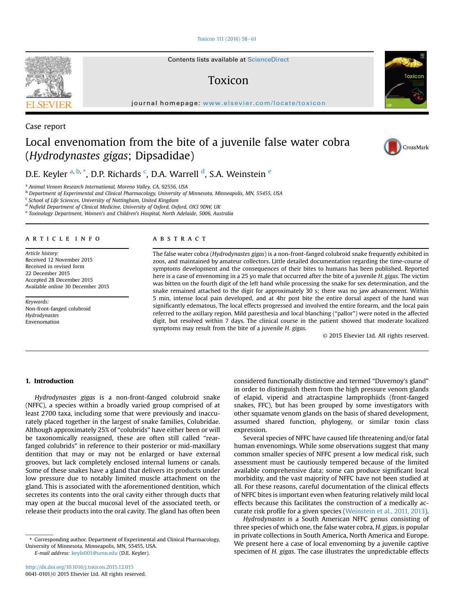#### [Toxicon 111 \(2016\) 58](http://dx.doi.org/10.1016/j.toxicon.2015.12.015)-[61](http://dx.doi.org/10.1016/j.toxicon.2015.12.015)

Contents lists available at ScienceDirect

### Toxicon

journal homepage: <www.elsevier.com/locate/toxicon>

# Case report

## Local envenomation from the bite of a juvenile false water cobra (Hydrodynastes gigas; Dipsadidae)

D.E. Keyler <sup>a, b, \*</sup>, D.P. Richards <sup>c</sup>, D.A. Warrell <sup>d</sup>, S.A. Weinstein <sup>e</sup>

<sup>a</sup> Animal Venom Research International, Moreno Valley, CA, 92556, USA

<sup>b</sup> Department of Experimental and Clinical Pharmacology, University of Minnesota, Minneapolis, MN, 55455, USA

<sup>c</sup> School of Life Sciences, University of Nottingham, United Kingdom

<sup>d</sup> Nufield Department of Clinical Medicine, University of Oxford, Oxford, OX3 9DW, UK

<sup>e</sup> Toxinology Department, Women's and Children's Hospital, North Adelaide, 5006, Australia

#### article info

Article history: Received 12 November 2015 Received in revised form 22 December 2015 Accepted 28 December 2015 Available online 30 December 2015

Keywords: Non-front-fanged colubroid Hydrodynastes Envenomation

#### **ABSTRACT**

The false water cobra (Hydrodynastes gigas) is a non-front-fanged colubroid snake frequently exhibited in zoos, and maintained by amateur collectors. Little detailed documentation regarding the time-course of symptoms development and the consequences of their bites to humans has been published. Reported here is a case of envenoming in a 25 yo male that occurred after the bite of a juvenile H. gigas. The victim was bitten on the fourth digit of the left hand while processing the snake for sex determination, and the snake remained attached to the digit for approximately 30 s; there was no jaw advancement. Within 5 min, intense local pain developed, and at 4hr post bite the entire dorsal aspect of the hand was significantly edematous, The local effects progressed and involved the entire forearm, and the local pain referred to the axillary region. Mild paresthesia and local blanching ("pallor") were noted in the affected digit, but resolved within 7 days. The clinical course in the patient showed that moderate localized symptoms may result from the bite of a juvenile H. gigas.

© 2015 Elsevier Ltd. All rights reserved.

#### 1. Introduction

Hydrodynastes gigas is a non-front-fanged colubroid snake (NFFC), a species within a broadly varied group comprised of at least 2700 taxa, including some that were previously and inaccurately placed together in the largest of snake families, Colubridae. Although approximately 25% of "colubrids" have either been or will be taxonomically reassigned, these are often still called "rearfanged colubrids" in reference to their posterior or mid-maxillary dentition that may or may not be enlarged or have external grooves, but lack completely enclosed internal lumens or canals. Some of these snakes have a gland that delivers its products under low pressure due to notably limited muscle attachment on the gland. This is associated with the aforementioned dentition, which secretes its contents into the oral cavity either through ducts that may open at the buccal mucosal level of the associated teeth, or release their products into the oral cavity. The gland has often been

E-mail address: [keyle001@umn.edu](mailto:keyle001@umn.edu) (D.E. Keyler).

considered functionally distinctive and termed "Duvernoy's gland" in order to distinguish them from the high pressure venom glands of elapid, viperid and atractaspine lamprophiids (front-fanged snakes, FFC), but has been grouped by some investigators with other squamate venom glands on the basis of shared development, assumed shared function, phylogeny, or similar toxin class expression.

Several species of NFFC have caused life threatening and/or fatal human envenomings. While some observations suggest that many common smaller species of NFFC present a low medical risk, such assessment must be cautiously tempered because of the limited available comprehensive data; some can produce significant local morbidity, and the vast majority of NFFC have not been studied at all. For these reasons, careful documentation of the clinical effects of NFFC bites is important even when featuring relatively mild local effects because this facilitates the construction of a medically accurate risk profile for a given species [\(Weinstein et al., 2011, 2013\)](#page--1-0).

Hydrodynastes is a South American NFFC genus consisting of three species of which one, the false water cobra, H. gigas, is popular in private collections in South America, North America and Europe. We present here a case of local envenoming by a juvenile captive specimen of H. gigas. The case illustrates the unpredictable effects







<sup>\*</sup> Corresponding author. Department of Experimental and Clinical Pharmacology, University of Minnesota, Minneapolis, MN, 55455, USA.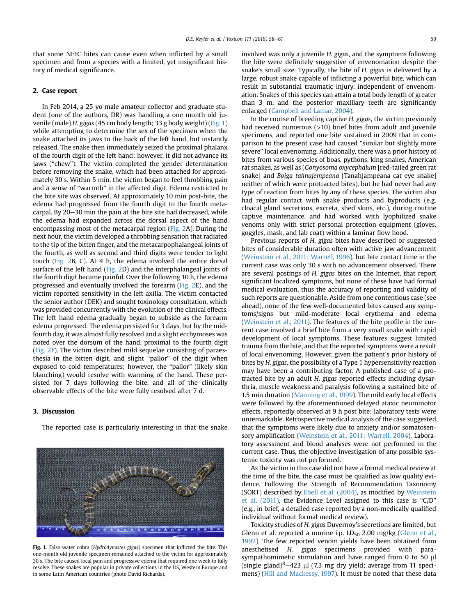that some NFFC bites can cause even when inflicted by a small specimen and from a species with a limited, yet insignificant history of medical significance.

#### 2. Case report

In Feb 2014, a 25 yo male amateur collector and graduate student (one of the authors, DR) was handling a one month old juvenile (male) H. gigas (45 cm body length; 33 g body weight) (Fig. 1) while attempting to determine the sex of the specimen when the snake attached its jaws to the back of the left hand, but instantly released. The snake then immediately seized the proximal phalanx of the fourth digit of the left hand; however, it did not advance its jaws ("chew"). The victim completed the gender determination before removing the snake, which had been attached for approximately 30 s. Within 5 min, the victim began to feel throbbing pain and a sense of "warmth" in the affected digit. Edema restricted to the bite site was observed. At approximately 10 min post-bite, the edema had progressed from the fourth digit to the fourth metacarpal. By 20-30 min the pain at the bite site had decreased, while the edema had expanded across the dorsal aspect of the hand encompassing most of the metacarpal region ([Fig. 2A](#page--1-0)). During the next hour, the victim developed a throbbing sensation that radiated to the tip of the bitten finger, and the metacarpophalangeal joints of the fourth, as well as second and third digits were tender to light touch ([Fig. 2](#page--1-0)B, C). At 4 h, the edema involved the entire dorsal surface of the left hand [\(Fig. 2](#page--1-0)D) and the interphalangeal joints of the fourth digit became painful. Over the following 10 h, the edema progressed and eventually involved the forearm ([Fig. 2](#page--1-0)E), and the victim reported sensitivity in the left axilla. The victim contacted the senior author (DEK) and sought toxinology consultation, which was provided concurrently with the evolution of the clinical effects. The left hand edema gradually began to subside as the forearm edema progressed. The edema persisted for 3 days, but by the midfourth day, it was almost fully resolved and a slight ecchymoses was noted over the dorsum of the hand, proximal to the fourth digit ([Fig. 2F](#page--1-0)). The victim described mild sequelae consisting of paraesthesia in the bitten digit, and slight "pallor" of the digit when exposed to cold temperatures; however, the "pallor" (likely skin blanching) would resolve with warming of the hand. These persisted for 7 days following the bite, and all of the clinically observable effects of the bite were fully resolved after 7 d.

#### 3. Discussion

The reported case is particularly interesting in that the snake



Fig. 1. False water cobra (Hydrodynastes gigas) specimen that inflicted the bite. This one-month old juvenile specimen remained attached to the victim for approximately 30 s. The bite caused local pain and progressive edema that required one week to fully resolve. These snakes are popular in private collections in the US, Western Europe and in some Latin American countries (photo David Richards).

involved was only a juvenile H. gigas, and the symptoms following the bite were definitely suggestive of envenomation despite the snake's small size. Typically, the bite of H. gigas is delivered by a large, robust snake capable of inflicting a powerful bite, which can result in substantial traumatic injury, independent of envenomation. Snakes of this species can attain a total body length of greater than 3 m, and the posterior maxillary teeth are significantly enlarged ([Campbell and Lamar, 2004](#page--1-0)).

In the course of breeding captive H. gigas, the victim previously had received numerous (>10) brief bites from adult and juvenile specimens, and reported one bite sustained in 2009 that in comparison to the present case had caused "similar but slightly more severe" local envenoming. Additionally, there was a prior history of bites from various species of boas, pythons, king snakes, American rat snakes, as well as (Gonyosoma oxycephalum [red-tailed green rat snake] and Boiga tahnajempeana [Tanahjampeana cat eye snake] neither of which were protracted bites), but he had never had any type of reaction from bites by any of these species. The victim also had regular contact with snake products and byproducts (e.g. cloacal gland secretions, excreta, shed skins, etc.), during routine captive maintenance, and had worked with lyophilized snake venoms only with strict personal protection equipment (gloves, goggles, mask, and lab coat) within a laminar flow hood.

Previous reports of H. gigas bites have described or suggested bites of considerable duration often with active jaw advancement ([Weinstein et al., 2011; Warrell, 1996](#page--1-0)), but bite contact time in the current case was only 30 s with no advancement observed. There are several postings of H. gigas bites on the Internet, that report significant localized symptoms, but none of these have had formal medical evaluation, thus the accuracy of reporting and validity of such reports are questionable. Aside from one contentious case (see ahead), none of the few well-documented bites caused any symptoms/signs but mild-moderate local erythema and edema ([Weinstein et al., 2011](#page--1-0)). The features of the bite profile in the current case involved a brief bite from a very small snake with rapid development of local symptoms. These features suggest limited trauma from the bite, and that the reported symptoms were a result of local envenoming. However, given the patient's prior history of bites by H. gigas, the possibility of a Type 1 hypersensitivity reaction may have been a contributing factor. A published case of a protracted bite by an adult H. gigas reported effects including dysarthria, muscle weakness and paralysis following a sustained bite of 1.5 min duration [\(Manning et al., 1999\)](#page--1-0). The mild early local effects were followed by the aforementioned delayed ataxic neuromotor effects, reportedly observed at 9 h post bite; laboratory tests were unremarkable. Retrospective medical analysis of the case suggested that the symptoms were likely due to anxiety and/or somatosensory amplification ([Weinstein et al., 2011; Warrell, 2004](#page--1-0)). Laboratory assessment and blood analyses were not performed in the current case. Thus, the objective investigation of any possible systemic toxicity was not performed.

As the victim in this case did not have a formal medical review at the time of the bite, the case must be qualified as low quality evidence. Following the Strength of Recommendation Taxonomy (SORT) described by [Ebell et al. \(2004\)](#page--1-0), as modified by [Weinstein](#page--1-0) [et al. \(2011\),](#page--1-0) the Evidence Level assigned to this case is "C/D" (e.g., in brief, a detailed case reported by a non-medically qualified individual without formal medical review).

Toxicity studies of H. gigas Duvernoy's secretions are limited, but Glenn et al. reported a murine i.p.  $LD_{50}$  2.00 mg/kg [\(Glenn et al.,](#page--1-0) [1992\)](#page--1-0). The few reported venom yields have been obtained from anesthetised H. gigas specimens provided with parasympathomimetic stimulation and have ranged from 0 to 50  $\mu$ l (single gland) $8-423$  µl (7.3 mg dry yield; average from 11 specimens) ([Hill and Mackessy, 1997\)](#page--1-0). It must be noted that these data